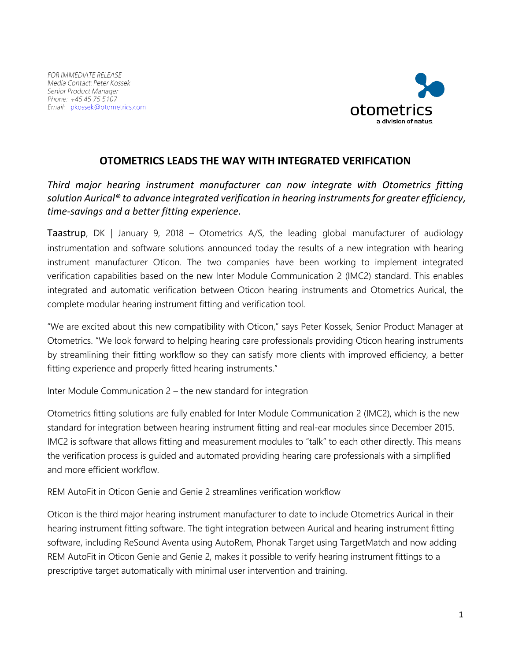

## **OTOMETRICS LEADS THE WAY WITH INTEGRATED VERIFICATION**

*Third major hearing instrument manufacturer can now integrate with Otometrics fitting solution Aurical® to advance integrated verification in hearing instruments for greater efficiency, time-savings and a better fitting experience.*

Taastrup, DK | January 9, 2018 – Otometrics A/S, the leading global manufacturer of audiology instrumentation and software solutions announced today the results of a new integration with hearing instrument manufacturer Oticon. The two companies have been working to implement integrated verification capabilities based on the new Inter Module Communication 2 (IMC2) standard. This enables integrated and automatic verification between Oticon hearing instruments and Otometrics Aurical, the complete modular hearing instrument fitting and verification tool.

"We are excited about this new compatibility with Oticon," says Peter Kossek, Senior Product Manager at Otometrics. "We look forward to helping hearing care professionals providing Oticon hearing instruments by streamlining their fitting workflow so they can satisfy more clients with improved efficiency, a better fitting experience and properly fitted hearing instruments."

Inter Module Communication 2 – the new standard for integration

Otometrics fitting solutions are fully enabled for Inter Module Communication 2 (IMC2), which is the new standard for integration between hearing instrument fitting and real-ear modules since December 2015. IMC2 is software that allows fitting and measurement modules to "talk" to each other directly. This means the verification process is guided and automated providing hearing care professionals with a simplified and more efficient workflow.

REM AutoFit in Oticon Genie and Genie 2 streamlines verification workflow

Oticon is the third major hearing instrument manufacturer to date to include Otometrics Aurical in their hearing instrument fitting software. The tight integration between Aurical and hearing instrument fitting software, including ReSound Aventa using AutoRem, Phonak Target using TargetMatch and now adding REM AutoFit in Oticon Genie and Genie 2, makes it possible to verify hearing instrument fittings to a prescriptive target automatically with minimal user intervention and training.